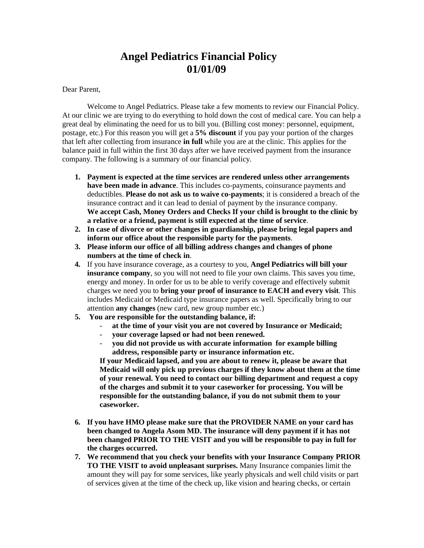## **Angel Pediatrics Financial Policy 01/01/09**

Dear Parent,

Welcome to Angel Pediatrics. Please take a few moments to review our Financial Policy. At our clinic we are trying to do everything to hold down the cost of medical care. You can help a great deal by eliminating the need for us to bill you. (Billing cost money: personnel, equipment, postage, etc.) For this reason you will get a **5% discount** if you pay your portion of the charges that left after collecting from insurance **in full** while you are at the clinic. This applies for the balance paid in full within the first 30 days after we have received payment from the insurance company. The following is a summary of our financial policy.

- **1. Payment is expected at the time services are rendered unless other arrangements have been made in advance**. This includes co-payments, coinsurance payments and deductibles. **Please do not ask us to waive co-payments**; it is considered a breach of the insurance contract and it can lead to denial of payment by the insurance company. **We accept Cash, Money Orders and Checks If your child is brought to the clinic by a relative or a friend, payment is still expected at the time of service**.
- **2. In case of divorce or other changes in guardianship, please bring legal papers and inform our office about the responsible party for the payments**.
- **3. Please inform our office of all billing address changes and changes of phone numbers at the time of check in**.
- **4.** If you have insurance coverage, as a courtesy to you, **Angel Pediatrics will bill your insurance company**, so you will not need to file your own claims. This saves you time, energy and money. In order for us to be able to verify coverage and effectively submit charges we need you to **bring your proof of insurance to EACH and every visit**. This includes Medicaid or Medicaid type insurance papers as well. Specifically bring to our attention **any changes** (new card, new group number etc.)
- **5. You are responsible for the outstanding balance, if:**
	- **at the time of your visit you are not covered by Insurance or Medicaid;**
	- **your coverage lapsed or had not been renewed.**
	- **you did not provide us with accurate information for example billing address, responsible party or insurance information etc.**

**If your Medicaid lapsed, and you are about to renew it, please be aware that Medicaid will only pick up previous charges if they know about them at the time of your renewal. You need to contact our billing department and request a copy of the charges and submit it to your caseworker for processing. You will be responsible for the outstanding balance, if you do not submit them to your caseworker.**

- **6. If you have HMO please make sure that the PROVIDER NAME on your card has been changed to Angela Asom MD. The insurance will deny payment if it has not been changed PRIOR TO THE VISIT and you will be responsible to pay in full for the charges occurred.**
- **7. We recommend that you check your benefits with your Insurance Company PRIOR TO THE VISIT to avoid unpleasant surprises.** Many Insurance companies limit the amount they will pay for some services, like yearly physicals and well child visits or part of services given at the time of the check up, like vision and hearing checks, or certain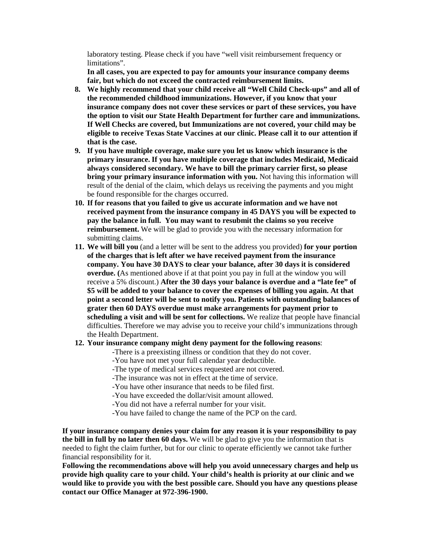laboratory testing. Please check if you have "well visit reimbursement frequency or limitations".

**In all cases, you are expected to pay for amounts your insurance company deems fair, but which do not exceed the contracted reimbursement limits.** 

- **8. We highly recommend that your child receive all "Well Child Check-ups" and all of the recommended childhood immunizations. However, if you know that your insurance company does not cover these services or part of these services, you have the option to visit our State Health Department for further care and immunizations. If Well Checks are covered, but Immunizations are not covered, your child may be eligible to receive Texas State Vaccines at our clinic. Please call it to our attention if that is the case.**
- **9. If you have multiple coverage, make sure you let us know which insurance is the primary insurance. If you have multiple coverage that includes Medicaid, Medicaid always considered secondary. We have to bill the primary carrier first, so please bring your primary insurance information with you.** Not having this information will result of the denial of the claim, which delays us receiving the payments and you might be found responsible for the charges occurred.
- **10. If for reasons that you failed to give us accurate information and we have not received payment from the insurance company in 45 DAYS you will be expected to pay the balance in full. You may want to resubmit the claims so you receive reimbursement.** We will be glad to provide you with the necessary information for submitting claims.
- **11. We will bill you** (and a letter will be sent to the address you provided) **for your portion of the charges that is left after we have received payment from the insurance company. You have 30 DAYS to clear your balance, after 30 days it is considered overdue. (**As mentioned above if at that point you pay in full at the window you will receive a 5% discount.) **After the 30 days your balance is overdue and a "late fee" of \$5 will be added to your balance to cover the expenses of billing you again. At that point a second letter will be sent to notify you. Patients with outstanding balances of grater then 60 DAYS overdue must make arrangements for payment prior to scheduling a visit and will be sent for collections.** We realize that people have financial difficulties. Therefore we may advise you to receive your child's immunizations through the Health Department.

## **12. Your insurance company might deny payment for the following reasons**:

- -There is a preexisting illness or condition that they do not cover.
	- -You have not met your full calendar year deductible.
	- -The type of medical services requested are not covered.
	- -The insurance was not in effect at the time of service.
	- -You have other insurance that needs to be filed first.
	- -You have exceeded the dollar/visit amount allowed.
	- -You did not have a referral number for your visit.
	- -You have failed to change the name of the PCP on the card.

**If your insurance company denies your claim for any reason it is your responsibility to pay the bill in full by no later then 60 days.** We will be glad to give you the information that is needed to fight the claim further, but for our clinic to operate efficiently we cannot take further financial responsibility for it.

**Following the recommendations above will help you avoid unnecessary charges and help us provide high quality care to your child. Your child's health is priority at our clinic and we would like to provide you with the best possible care. Should you have any questions please contact our Office Manager at 972-396-1900.**